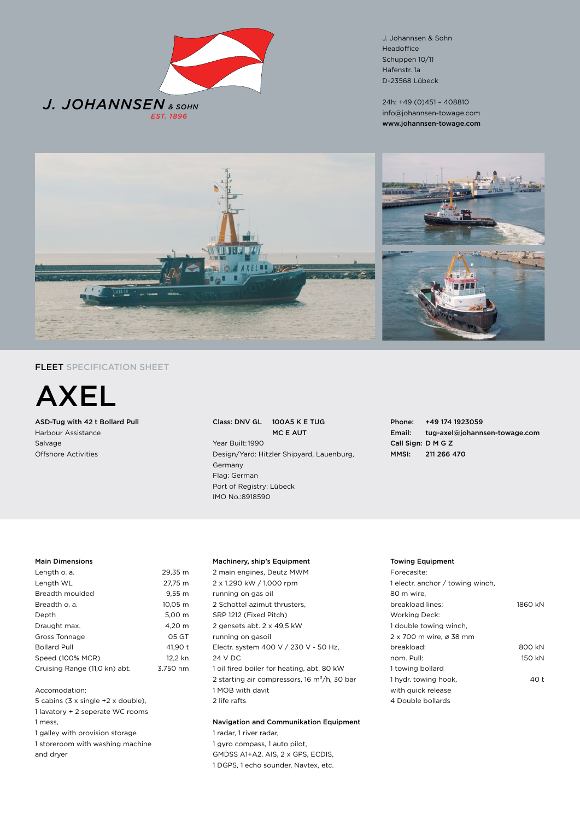

J. Johannsen & Sohn Headoffice Schuppen 10/11 Hafenstr. 1a D-23568 Lübeck

24h: +49 (0)451 – 408810 info@johannsen-towage.com www.johannsen-towage.com



# FLEET SPECIFICATION SHEET



ASD-Tug with 42 t Bollard Pull Harbour Assistance Salvage Offshore Activities

## Class: DNV GL 100A5 K E TUG MC E AUT Year Built:1990 Design/Yard: Hitzler Shipyard, Lauenburg, Germany Flag: German Port of Registry: Lübeck IMO No.:8918590

Phone: +49 174 1923059 Email: tug-axel@johannsen-towage.com Call Sign: D M G Z MMSI: 211 266 470

### Main Dimensions

| Length o. a.                  | 29.35 m           |
|-------------------------------|-------------------|
| Length WL                     | 27.75 m           |
| Breadth moulded               | 9.55 <sub>m</sub> |
| Breadth o. a.                 | 10.05 m           |
| Depth                         | 5.00 m            |
| Draught max.                  | 4.20 m            |
| Gross Tonnage                 | 05 GT             |
| <b>Bollard Pull</b>           | 41.90 t           |
| Speed (100% MCR)              | 12.2 kn           |
| Cruising Range (11,0 kn) abt. | 3.750 nm          |
|                               |                   |

Accomodation:

- 5 cabins (3 x single +2 x double),
- 1 lavatory + 2 seperate WC rooms
- 1 mess,
- 1 galley with provision storage 1 storeroom with washing machine
- and dryer

### Machinery, ship's Equipment

2 main engines, Deutz MWM 2 x 1.290 kW / 1.000 rpm running on gas oil 2 Schottel azimut thrusters, SRP 1212 (Fixed Pitch) 2 gensets abt. 2 x 49,5 kW running on gasoil Electr. system 400 V / 230 V - 50 Hz, 24 V DC 1 oil fired boiler for heating, abt. 80 kW 2 starting air compressors, 16  $m^3/h$ , 30 bar 1 MOB with davit 2 life rafts

# Navigation and Communikation Equipment 1 radar, 1 river radar,

1 gyro compass, 1 auto pilot, GMDSS A1+A2, AIS, 2 x GPS, ECDIS, 1 DGPS, 1 echo sounder, Navtex, etc.

### Towing Equipment

| Forecasite:                      |         |
|----------------------------------|---------|
| 1 electr. anchor / towing winch, |         |
| 80 m wire.                       |         |
| breakload lines:                 | 1860 kN |
| Working Deck:                    |         |
| 1 double towing winch,           |         |
| 2 x 700 m wire, ø 38 mm          |         |
| breakload:                       | 800 kN  |
| nom. Pull:                       | 150 kN  |
| 1 towing bollard                 |         |
| 1 hydr. towing hook,             | 40 t    |
| with quick release               |         |
| 4 Double bollards                |         |